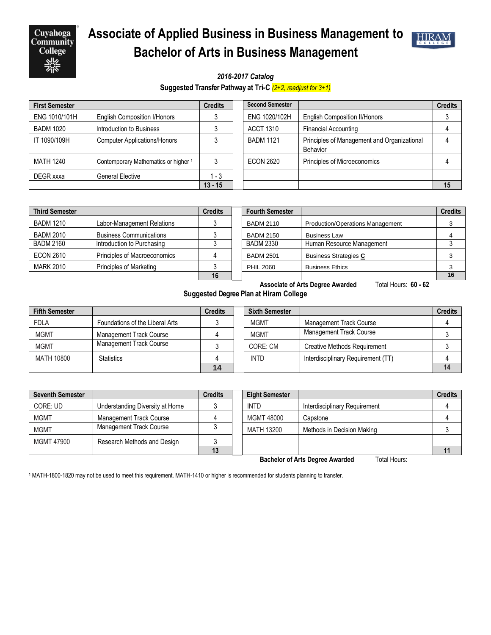

## **Associate of Applied Business in Business Management to Bachelor of Arts in Business Management**



*2016-2017 Catalog*

**Suggested Transfer Pathway at Tri-C** *(2+2, readjust for 3+1)*

| <b>First Semester</b> |                                      | <b>Credits</b> | <b>Second Semester</b> |                                                         | <b>Credits</b> |
|-----------------------|--------------------------------------|----------------|------------------------|---------------------------------------------------------|----------------|
| ENG 1010/101H         | <b>English Composition I/Honors</b>  |                | ENG 1020/102H          | <b>English Composition II/Honors</b>                    |                |
| <b>BADM 1020</b>      | Introduction to Business             |                | <b>ACCT 1310</b>       | <b>Financial Accounting</b>                             |                |
| IT 1090/109H          | <b>Computer Applications/Honors</b>  |                | <b>BADM 1121</b>       | Principles of Management and Organizational<br>Behavior |                |
| <b>MATH 1240</b>      | Contemporary Mathematics or higher 1 |                | <b>ECON 2620</b>       | Principles of Microeconomics                            |                |
| DEGR xxxa             | <b>General Elective</b>              | 1 - 3          |                        |                                                         |                |
|                       |                                      | $13 - 15$      |                        |                                                         | 15             |

| <b>Third Semester</b> |                                | <b>Credits</b> |  |
|-----------------------|--------------------------------|----------------|--|
| <b>BADM 1210</b>      | Labor-Management Relations     |                |  |
| <b>BADM 2010</b>      | <b>Business Communications</b> |                |  |
| <b>BADM 2160</b>      | Introduction to Purchasing     |                |  |
| <b>ECON 2610</b>      | Principles of Macroeconomics   |                |  |
| <b>MARK 2010</b>      | <b>Principles of Marketing</b> |                |  |
|                       |                                |                |  |

| <b>Third Semester</b> |                                | <b>Credits</b> | <b>Fourth Semester</b> |                                         | <b>Credits</b> |
|-----------------------|--------------------------------|----------------|------------------------|-----------------------------------------|----------------|
| <b>BADM 1210</b>      | Labor-Management Relations     |                | <b>BADM 2110</b>       | <b>Production/Operations Management</b> |                |
| <b>BADM 2010</b>      | <b>Business Communications</b> |                | <b>BADM 2150</b>       | <b>Business Law</b>                     |                |
| BADM 2160             | Introduction to Purchasing     |                | <b>BADM 2330</b>       | Human Resource Management               |                |
| <b>ECON 2610</b>      | Principles of Macroeconomics   |                | <b>BADM 2501</b>       | <b>Business Strategies C</b>            |                |
| <b>MARK 2010</b>      | Principles of Marketing        |                | <b>PHIL 2060</b>       | <b>Business Ethics</b>                  | 3              |
|                       |                                | 16             |                        |                                         | 16             |

**Associate of Arts Degree Awarded** Total Hours: **60 - 62**

**Suggested Degree Plan at Hiram College**

| <b>Fifth Semester</b> |                                 | <b>Credits</b> | <b>Sixth Semester</b> |                                     | <b>Credits</b> |
|-----------------------|---------------------------------|----------------|-----------------------|-------------------------------------|----------------|
| <b>FDLA</b>           | Foundations of the Liberal Arts |                | <b>MGMT</b>           | Management Track Course             |                |
| <b>MGMT</b>           | <b>Management Track Course</b>  |                | <b>MGMT</b>           | Management Track Course             |                |
| <b>MGMT</b>           | Management Track Course         |                | CORE: CM              | <b>Creative Methods Requirement</b> |                |
| MATH 10800            | <b>Statistics</b>               |                | <b>INTD</b>           | Interdisciplinary Requirement (TT)  |                |
|                       |                                 | 14             |                       |                                     |                |

| <b>Seventh Semester</b>                                |                                 | <b>Credits</b> | <b>Eight Semester</b> |                               | <b>Credits</b> |  |
|--------------------------------------------------------|---------------------------------|----------------|-----------------------|-------------------------------|----------------|--|
| CORE: UD                                               | Understanding Diversity at Home |                | <b>INTD</b>           | Interdisciplinary Requirement |                |  |
| <b>MGMT</b>                                            | Management Track Course         |                | MGMT 48000            | Capstone                      |                |  |
| <b>MGMT</b>                                            | <b>Management Track Course</b>  |                | MATH 13200            | Methods in Decision Making    |                |  |
| MGMT 47900                                             | Research Methods and Design     |                |                       |                               |                |  |
|                                                        |                                 | 13             |                       |                               |                |  |
| <b>Bachelor of Arts Degree Awarded</b><br>Total Hours: |                                 |                |                       |                               |                |  |

**<sup>1</sup>** MATH-1800-1820 may not be used to meet this requirement. MATH-1410 or higher is recommended for students planning to transfer.